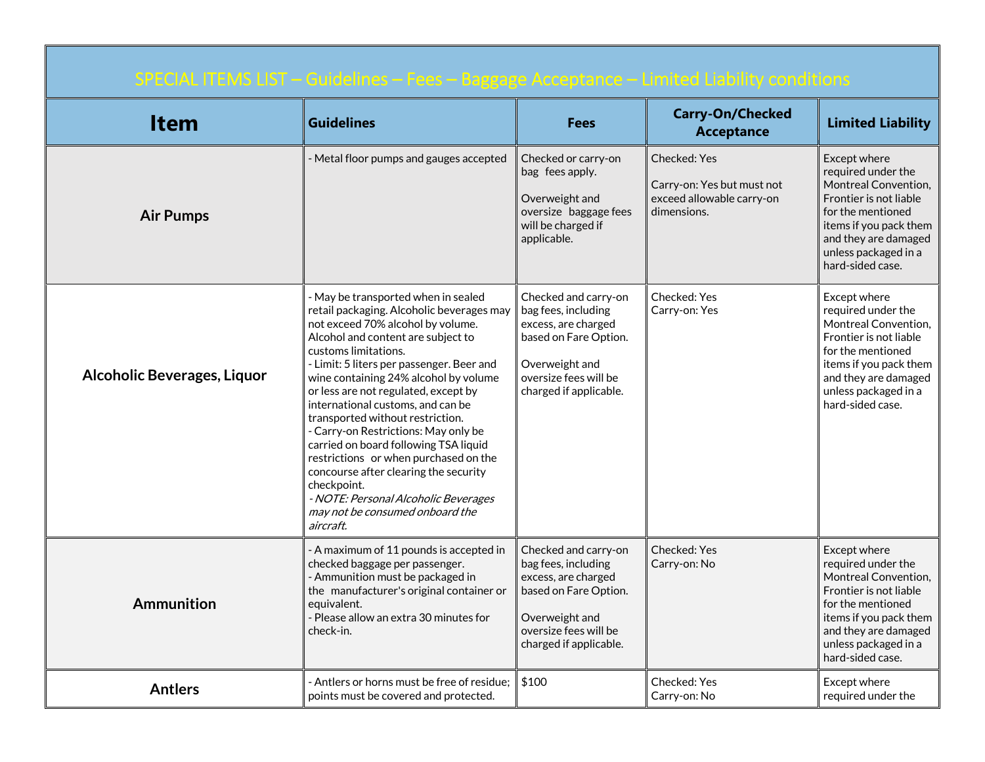| SPECIAL ITEMS LIST - Guidelines - Fees - Baggage Acceptance - Limited Liability conditions |                                                                                                                                                                                                                                                                                                                                                                                                                                                                                                                                                                                                                                                                      |                                                                                                                                                                  |                                                                                        |                                                                                                                                                                                                                |  |
|--------------------------------------------------------------------------------------------|----------------------------------------------------------------------------------------------------------------------------------------------------------------------------------------------------------------------------------------------------------------------------------------------------------------------------------------------------------------------------------------------------------------------------------------------------------------------------------------------------------------------------------------------------------------------------------------------------------------------------------------------------------------------|------------------------------------------------------------------------------------------------------------------------------------------------------------------|----------------------------------------------------------------------------------------|----------------------------------------------------------------------------------------------------------------------------------------------------------------------------------------------------------------|--|
| <b>Item</b>                                                                                | <b>Guidelines</b>                                                                                                                                                                                                                                                                                                                                                                                                                                                                                                                                                                                                                                                    | <b>Fees</b>                                                                                                                                                      | <b>Carry-On/Checked</b><br><b>Acceptance</b>                                           | <b>Limited Liability</b>                                                                                                                                                                                       |  |
| <b>Air Pumps</b>                                                                           | Metal floor pumps and gauges accepted                                                                                                                                                                                                                                                                                                                                                                                                                                                                                                                                                                                                                                | Checked or carry-on<br>bag fees apply.<br>Overweight and<br>oversize baggage fees<br>will be charged if<br>applicable.                                           | Checked: Yes<br>Carry-on: Yes but must not<br>exceed allowable carry-on<br>dimensions. | Except where<br>required under the<br><b>Montreal Convention,</b><br>Frontier is not liable<br>for the mentioned<br>items if you pack them<br>and they are damaged<br>unless packaged in a<br>hard-sided case. |  |
| <b>Alcoholic Beverages, Liquor</b>                                                         | - May be transported when in sealed<br>retail packaging. Alcoholic beverages may<br>not exceed 70% alcohol by volume.<br>Alcohol and content are subject to<br>customs limitations.<br>- Limit: 5 liters per passenger. Beer and<br>wine containing 24% alcohol by volume<br>or less are not regulated, except by<br>international customs, and can be<br>transported without restriction.<br>- Carry-on Restrictions: May only be<br>carried on board following TSA liquid<br>restrictions or when purchased on the<br>concourse after clearing the security<br>checkpoint.<br>- NOTE: Personal Alcoholic Beverages<br>may not be consumed onboard the<br>aircraft. | Checked and carry-on<br>bag fees, including<br>excess, are charged<br>based on Fare Option.<br>Overweight and<br>oversize fees will be<br>charged if applicable. | Checked: Yes<br>Carry-on: Yes                                                          | Except where<br>required under the<br>Montreal Convention.<br>Frontier is not liable<br>for the mentioned<br>items if you pack them<br>and they are damaged<br>unless packaged in a<br>hard-sided case.        |  |
| Ammunition                                                                                 | - A maximum of 11 pounds is accepted in<br>checked baggage per passenger.<br>- Ammunition must be packaged in<br>the manufacturer's original container or<br>equivalent.<br>- Please allow an extra 30 minutes for<br>check-in.                                                                                                                                                                                                                                                                                                                                                                                                                                      | Checked and carry-on<br>bag fees, including<br>excess, are charged<br>based on Fare Option.<br>Overweight and<br>oversize fees will be<br>charged if applicable. | Checked: Yes<br>Carry-on: No                                                           | Except where<br>required under the<br>Montreal Convention,<br>Frontier is not liable<br>for the mentioned<br>items if you pack them<br>and they are damaged<br>unless packaged in a<br>hard-sided case.        |  |
| <b>Antlers</b>                                                                             | - Antlers or horns must be free of residue:<br>points must be covered and protected.                                                                                                                                                                                                                                                                                                                                                                                                                                                                                                                                                                                 | \$100                                                                                                                                                            | <b>Checked: Yes</b><br>Carry-on: No                                                    | Except where<br>reauired under the                                                                                                                                                                             |  |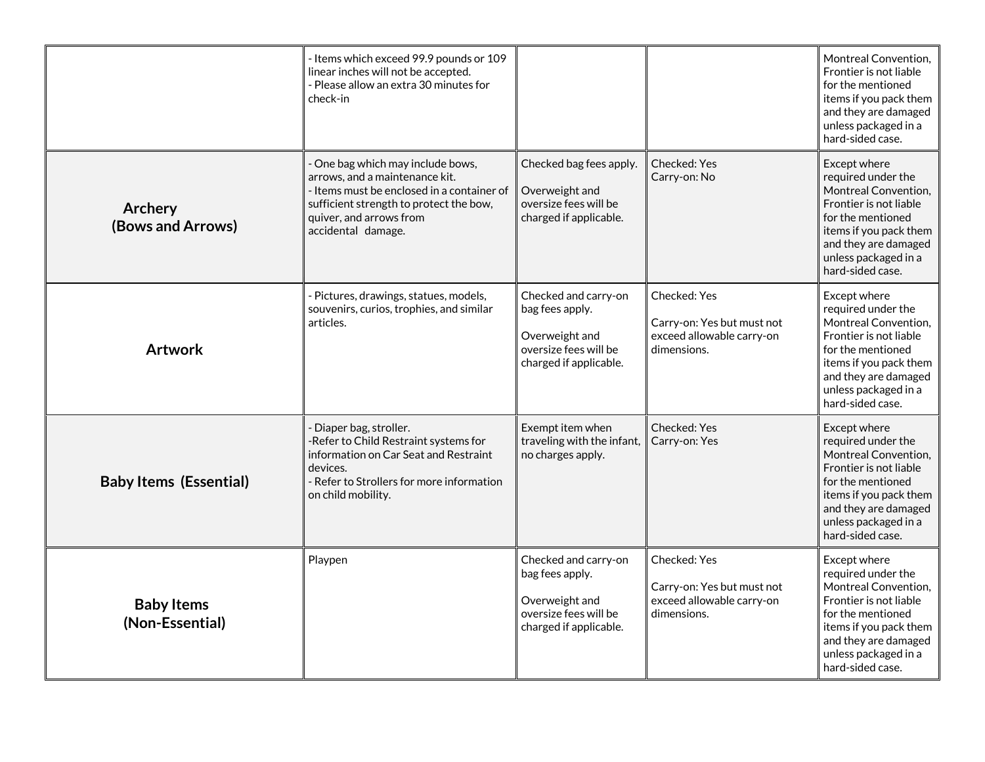|                                      | - Items which exceed 99.9 pounds or 109<br>linear inches will not be accepted.<br>- Please allow an extra 30 minutes for<br>check-in                                                                          |                                                                                                              |                                                                                        | Montreal Convention,<br>Frontier is not liable<br>for the mentioned<br>items if you pack them<br>and they are damaged<br>unless packaged in a<br>hard-sided case.                                       |
|--------------------------------------|---------------------------------------------------------------------------------------------------------------------------------------------------------------------------------------------------------------|--------------------------------------------------------------------------------------------------------------|----------------------------------------------------------------------------------------|---------------------------------------------------------------------------------------------------------------------------------------------------------------------------------------------------------|
| Archery<br>(Bows and Arrows)         | - One bag which may include bows,<br>arrows, and a maintenance kit.<br>- Items must be enclosed in a container of<br>sufficient strength to protect the bow,<br>quiver, and arrows from<br>accidental damage. | Checked bag fees apply.<br>Overweight and<br>oversize fees will be<br>charged if applicable.                 | Checked: Yes<br>Carry-on: No                                                           | Except where<br>required under the<br>Montreal Convention,<br>Frontier is not liable<br>for the mentioned<br>items if you pack them<br>and they are damaged<br>unless packaged in a<br>hard-sided case. |
| <b>Artwork</b>                       | - Pictures, drawings, statues, models,<br>souvenirs, curios, trophies, and similar<br>articles.                                                                                                               | Checked and carry-on<br>bag fees apply.<br>Overweight and<br>oversize fees will be<br>charged if applicable. | Checked: Yes<br>Carry-on: Yes but must not<br>exceed allowable carry-on<br>dimensions. | Except where<br>required under the<br>Montreal Convention,<br>Frontier is not liable<br>for the mentioned<br>items if you pack them<br>and they are damaged<br>unless packaged in a<br>hard-sided case. |
| <b>Baby Items (Essential)</b>        | Diaper bag, stroller.<br>-Refer to Child Restraint systems for<br>information on Car Seat and Restraint<br>devices.<br>- Refer to Strollers for more information<br>on child mobility.                        | Exempt item when<br>traveling with the infant,<br>no charges apply.                                          | Checked: Yes<br>Carry-on: Yes                                                          | Except where<br>required under the<br>Montreal Convention,<br>Frontier is not liable<br>for the mentioned<br>items if you pack them<br>and they are damaged<br>unless packaged in a<br>hard-sided case. |
| <b>Baby Items</b><br>(Non-Essential) | Playpen                                                                                                                                                                                                       | Checked and carry-on<br>bag fees apply.<br>Overweight and<br>oversize fees will be<br>charged if applicable. | Checked: Yes<br>Carry-on: Yes but must not<br>exceed allowable carry-on<br>dimensions. | Except where<br>required under the<br>Montreal Convention,<br>Frontier is not liable<br>for the mentioned<br>items if you pack them<br>and they are damaged<br>unless packaged in a<br>hard-sided case. |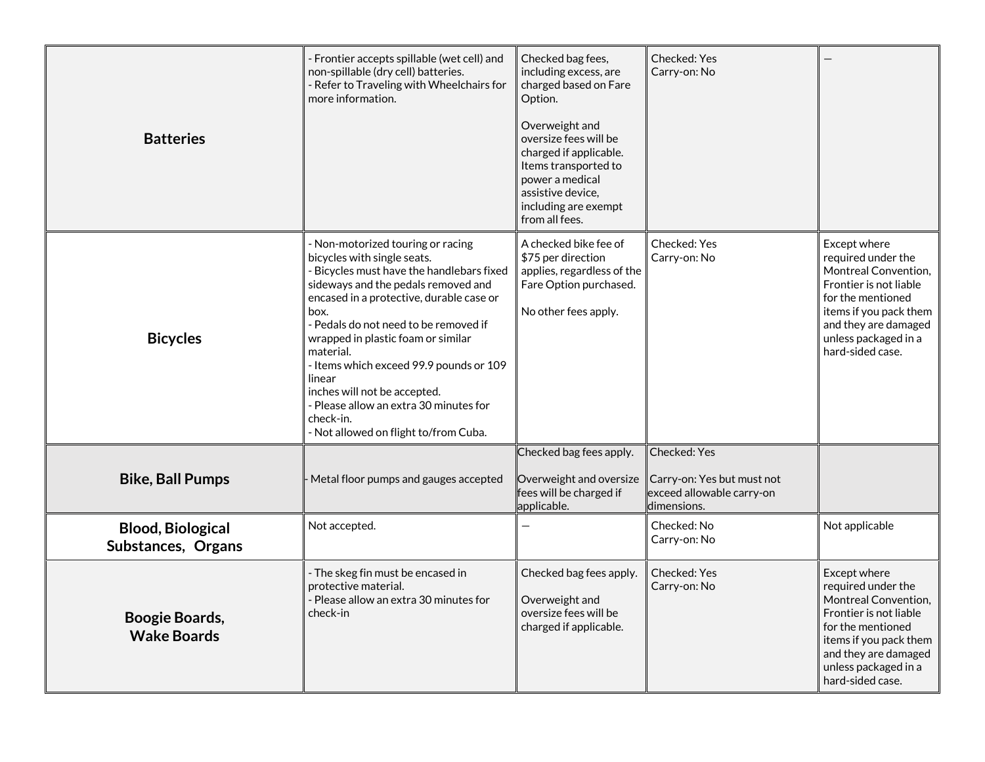| <b>Batteries</b>                               | Frontier accepts spillable (wet cell) and<br>non-spillable (dry cell) batteries.<br>- Refer to Traveling with Wheelchairs for<br>more information.                                                                                                                                                                                                                                                                                                                                        | Checked bag fees,<br>including excess, are<br>charged based on Fare<br>Option.<br>Overweight and<br>oversize fees will be<br>charged if applicable.<br>Items transported to<br>power a medical<br>assistive device,<br>including are exempt<br>from all fees. | Checked: Yes<br>Carry-on: No                                                           |                                                                                                                                                                                                         |
|------------------------------------------------|-------------------------------------------------------------------------------------------------------------------------------------------------------------------------------------------------------------------------------------------------------------------------------------------------------------------------------------------------------------------------------------------------------------------------------------------------------------------------------------------|---------------------------------------------------------------------------------------------------------------------------------------------------------------------------------------------------------------------------------------------------------------|----------------------------------------------------------------------------------------|---------------------------------------------------------------------------------------------------------------------------------------------------------------------------------------------------------|
| <b>Bicycles</b>                                | - Non-motorized touring or racing<br>bicycles with single seats.<br>- Bicycles must have the handlebars fixed<br>sideways and the pedals removed and<br>encased in a protective, durable case or<br>hox.<br>- Pedals do not need to be removed if<br>wrapped in plastic foam or similar<br>material.<br>- Items which exceed 99.9 pounds or 109<br>linear<br>inches will not be accepted.<br>- Please allow an extra 30 minutes for<br>check-in.<br>- Not allowed on flight to/from Cuba. | A checked bike fee of<br>\$75 per direction<br>applies, regardless of the<br>Fare Option purchased.<br>No other fees apply.                                                                                                                                   | Checked: Yes<br>Carry-on: No                                                           | Except where<br>required under the<br>Montreal Convention,<br>Frontier is not liable<br>for the mentioned<br>items if you pack them<br>and they are damaged<br>unless packaged in a<br>hard-sided case. |
| <b>Bike, Ball Pumps</b>                        | Metal floor pumps and gauges accepted                                                                                                                                                                                                                                                                                                                                                                                                                                                     | Checked bag fees apply.<br>Overweight and oversize<br>fees will be charged if<br>applicable.                                                                                                                                                                  | Checked: Yes<br>Carry-on: Yes but must not<br>exceed allowable carry-on<br>dimensions. |                                                                                                                                                                                                         |
| <b>Blood, Biological</b><br>Substances, Organs | Not accepted.                                                                                                                                                                                                                                                                                                                                                                                                                                                                             |                                                                                                                                                                                                                                                               | Checked: No<br>Carry-on: No                                                            | Not applicable                                                                                                                                                                                          |
| <b>Boogie Boards,</b><br><b>Wake Boards</b>    | - The skeg fin must be encased in<br>protective material.<br>- Please allow an extra 30 minutes for<br>check-in                                                                                                                                                                                                                                                                                                                                                                           | Checked bag fees apply.<br>Overweight and<br>oversize fees will be<br>charged if applicable.                                                                                                                                                                  | Checked: Yes<br>Carry-on: No                                                           | Except where<br>required under the<br>Montreal Convention,<br>Frontier is not liable<br>for the mentioned<br>items if you pack them<br>and they are damaged<br>unless packaged in a<br>hard-sided case. |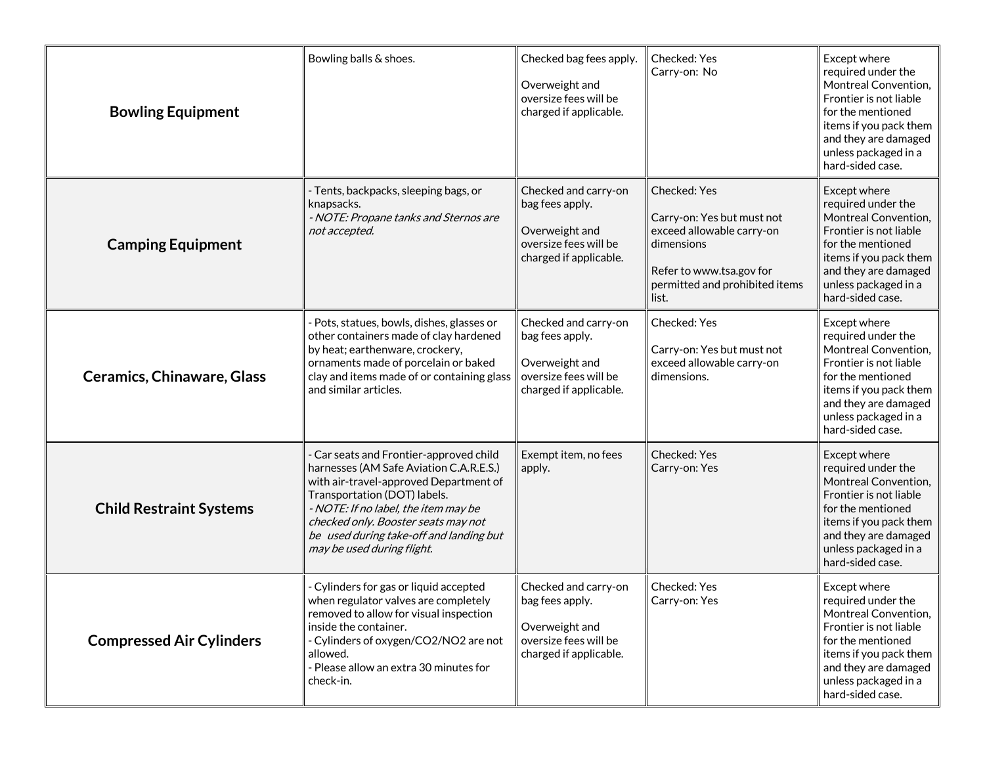| <b>Bowling Equipment</b>          | Bowling balls & shoes.                                                                                                                                                                                                                                                                                             | Checked bag fees apply.<br>Overweight and<br>oversize fees will be<br>charged if applicable.                 | Checked: Yes<br>Carry-on: No                                                                                                                                 | Except where<br>required under the<br>Montreal Convention,<br>Frontier is not liable<br>for the mentioned<br>items if you pack them<br>and they are damaged<br>unless packaged in a<br>hard-sided case. |
|-----------------------------------|--------------------------------------------------------------------------------------------------------------------------------------------------------------------------------------------------------------------------------------------------------------------------------------------------------------------|--------------------------------------------------------------------------------------------------------------|--------------------------------------------------------------------------------------------------------------------------------------------------------------|---------------------------------------------------------------------------------------------------------------------------------------------------------------------------------------------------------|
| <b>Camping Equipment</b>          | - Tents, backpacks, sleeping bags, or<br>knapsacks.<br>- NOTE: Propane tanks and Sternos are<br>not accepted.                                                                                                                                                                                                      | Checked and carry-on<br>bag fees apply.<br>Overweight and<br>oversize fees will be<br>charged if applicable. | Checked: Yes<br>Carry-on: Yes but must not<br>exceed allowable carry-on<br>dimensions<br>Refer to www.tsa.gov for<br>permitted and prohibited items<br>list. | Except where<br>required under the<br>Montreal Convention,<br>Frontier is not liable<br>for the mentioned<br>items if you pack them<br>and they are damaged<br>unless packaged in a<br>hard-sided case. |
| <b>Ceramics, Chinaware, Glass</b> | Pots, statues, bowls, dishes, glasses or<br>other containers made of clay hardened<br>by heat; earthenware, crockery,<br>ornaments made of porcelain or baked<br>clay and items made of or containing glass<br>and similar articles.                                                                               | Checked and carry-on<br>bag fees apply.<br>Overweight and<br>oversize fees will be<br>charged if applicable. | Checked: Yes<br>Carry-on: Yes but must not<br>exceed allowable carry-on<br>dimensions.                                                                       | Except where<br>required under the<br>Montreal Convention,<br>Frontier is not liable<br>for the mentioned<br>items if you pack them<br>and they are damaged<br>unless packaged in a<br>hard-sided case. |
| <b>Child Restraint Systems</b>    | Car seats and Frontier-approved child<br>harnesses (AM Safe Aviation C.A.R.E.S.)<br>with air-travel-approved Department of<br>Transportation (DOT) labels.<br>- NOTE: If no label, the item may be<br>checked only. Booster seats may not<br>be used during take-off and landing but<br>may be used during flight. | Exempt item, no fees<br>apply.                                                                               | Checked: Yes<br>Carry-on: Yes                                                                                                                                | Except where<br>required under the<br>Montreal Convention,<br>Frontier is not liable<br>for the mentioned<br>items if you pack them<br>and they are damaged<br>unless packaged in a<br>hard-sided case. |
| <b>Compressed Air Cylinders</b>   | - Cylinders for gas or liquid accepted<br>when regulator valves are completely<br>removed to allow for visual inspection<br>inside the container.<br>- Cylinders of oxygen/CO2/NO2 are not<br>allowed.<br>- Please allow an extra 30 minutes for<br>check-in.                                                      | Checked and carry-on<br>bag fees apply.<br>Overweight and<br>oversize fees will be<br>charged if applicable. | Checked: Yes<br>Carry-on: Yes                                                                                                                                | Except where<br>required under the<br>Montreal Convention,<br>Frontier is not liable<br>for the mentioned<br>items if you pack them<br>and they are damaged<br>unless packaged in a<br>hard-sided case. |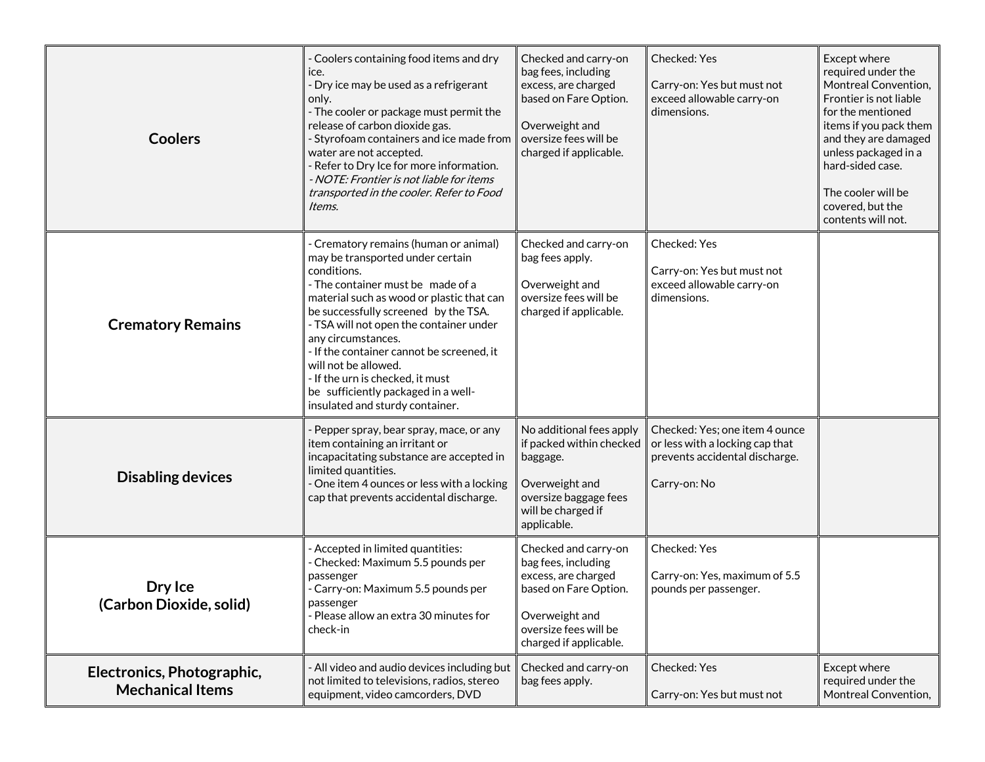| <b>Coolers</b>                                        | - Coolers containing food items and dry<br>ice.<br>- Dry ice may be used as a refrigerant<br>only.<br>- The cooler or package must permit the<br>release of carbon dioxide gas.<br>- Styrofoam containers and ice made from<br>water are not accepted.<br>- Refer to Dry Ice for more information.<br>- NOTE: Frontier is not liable for items<br>transported in the cooler. Refer to Food<br>Items.                                                                   | Checked and carry-on<br>bag fees, including<br>excess, are charged<br>based on Fare Option.<br>Overweight and<br>oversize fees will be<br>charged if applicable. | Checked: Yes<br>Carry-on: Yes but must not<br>exceed allowable carry-on<br>dimensions.                              | Except where<br>required under the<br>Montreal Convention,<br>Frontier is not liable<br>for the mentioned<br>items if you pack them<br>and they are damaged<br>unless packaged in a<br>hard-sided case.<br>The cooler will be<br>covered, but the<br>contents will not. |
|-------------------------------------------------------|------------------------------------------------------------------------------------------------------------------------------------------------------------------------------------------------------------------------------------------------------------------------------------------------------------------------------------------------------------------------------------------------------------------------------------------------------------------------|------------------------------------------------------------------------------------------------------------------------------------------------------------------|---------------------------------------------------------------------------------------------------------------------|-------------------------------------------------------------------------------------------------------------------------------------------------------------------------------------------------------------------------------------------------------------------------|
| <b>Crematory Remains</b>                              | - Crematory remains (human or animal)<br>may be transported under certain<br>conditions.<br>- The container must be made of a<br>material such as wood or plastic that can<br>be successfully screened by the TSA.<br>- TSA will not open the container under<br>any circumstances.<br>- If the container cannot be screened, it<br>will not be allowed.<br>- If the urn is checked, it must<br>be sufficiently packaged in a well-<br>insulated and sturdy container. | Checked and carry-on<br>bag fees apply.<br>Overweight and<br>oversize fees will be<br>charged if applicable.                                                     | Checked: Yes<br>Carry-on: Yes but must not<br>exceed allowable carry-on<br>dimensions.                              |                                                                                                                                                                                                                                                                         |
| <b>Disabling devices</b>                              | Pepper spray, bear spray, mace, or any<br>item containing an irritant or<br>incapacitating substance are accepted in<br>limited quantities.<br>- One item 4 ounces or less with a locking<br>cap that prevents accidental discharge.                                                                                                                                                                                                                                   | No additional fees apply<br>if packed within checked<br>baggage.<br>Overweight and<br>oversize baggage fees<br>will be charged if<br>applicable.                 | Checked: Yes; one item 4 ounce<br>or less with a locking cap that<br>prevents accidental discharge.<br>Carry-on: No |                                                                                                                                                                                                                                                                         |
| Dry Ice<br>(Carbon Dioxide, solid)                    | - Accepted in limited quantities:<br>- Checked: Maximum 5.5 pounds per<br>passenger<br>- Carry-on: Maximum 5.5 pounds per<br>passenger<br>- Please allow an extra 30 minutes for<br>check-in                                                                                                                                                                                                                                                                           | Checked and carry-on<br>bag fees, including<br>excess, are charged<br>based on Fare Option.<br>Overweight and<br>oversize fees will be<br>charged if applicable. | Checked: Yes<br>Carry-on: Yes, maximum of 5.5<br>pounds per passenger.                                              |                                                                                                                                                                                                                                                                         |
| Electronics, Photographic,<br><b>Mechanical Items</b> | - All video and audio devices including but<br>not limited to televisions, radios, stereo<br>equipment, video camcorders, DVD                                                                                                                                                                                                                                                                                                                                          | Checked and carry-on<br>bag fees apply.                                                                                                                          | Checked: Yes<br>Carry-on: Yes but must not                                                                          | Except where<br>required under the<br>Montreal Convention,                                                                                                                                                                                                              |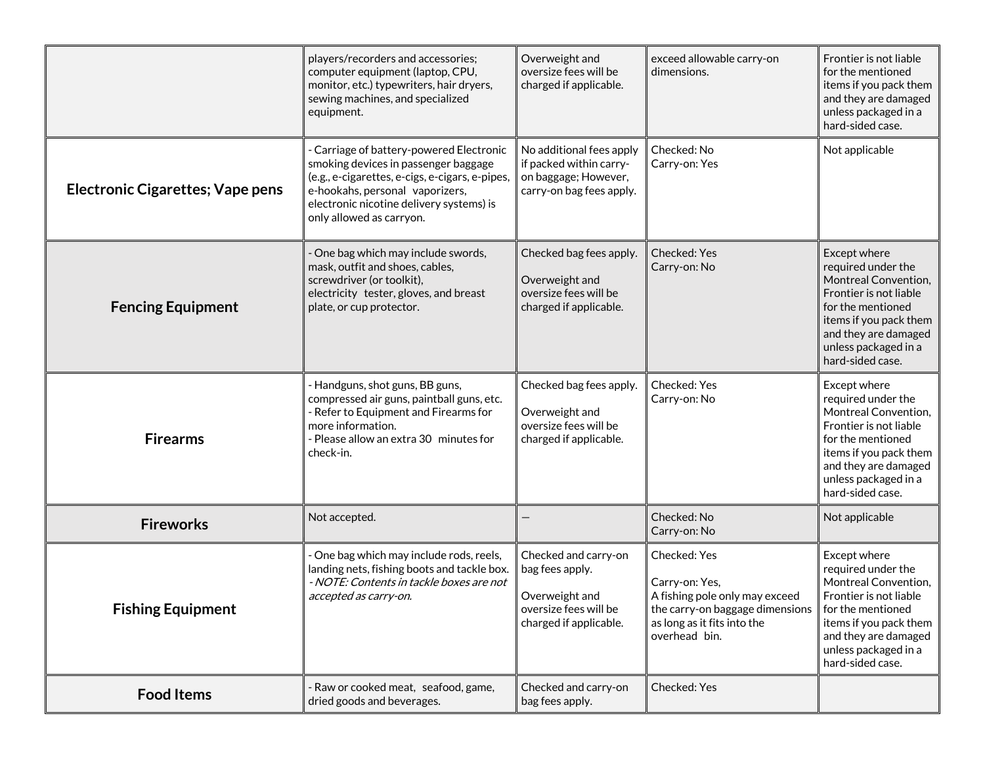|                                         | players/recorders and accessories;<br>computer equipment (laptop, CPU,<br>monitor, etc.) typewriters, hair dryers,<br>sewing machines, and specialized<br>equipment.                                                                           | Overweight and<br>oversize fees will be<br>charged if applicable.                                            | exceed allowable carry-on<br>dimensions.                                                                                                            | Frontier is not liable<br>for the mentioned<br>items if you pack them<br>and they are damaged<br>unless packaged in a<br>hard-sided case.                                                               |
|-----------------------------------------|------------------------------------------------------------------------------------------------------------------------------------------------------------------------------------------------------------------------------------------------|--------------------------------------------------------------------------------------------------------------|-----------------------------------------------------------------------------------------------------------------------------------------------------|---------------------------------------------------------------------------------------------------------------------------------------------------------------------------------------------------------|
| <b>Electronic Cigarettes; Vape pens</b> | - Carriage of battery-powered Electronic<br>smoking devices in passenger baggage<br>(e.g., e-cigarettes, e-cigs, e-cigars, e-pipes,<br>e-hookahs, personal vaporizers,<br>electronic nicotine delivery systems) is<br>only allowed as carryon. | No additional fees apply<br>if packed within carry-<br>on baggage; However,<br>carry-on bag fees apply.      | Checked: No<br>Carry-on: Yes                                                                                                                        | Not applicable                                                                                                                                                                                          |
| <b>Fencing Equipment</b>                | One bag which may include swords,<br>mask, outfit and shoes, cables,<br>screwdriver (or toolkit),<br>electricity tester, gloves, and breast<br>plate, or cup protector.                                                                        | Checked bag fees apply.<br>Overweight and<br>oversize fees will be<br>charged if applicable.                 | Checked: Yes<br>Carry-on: No                                                                                                                        | Except where<br>required under the<br>Montreal Convention,<br>Frontier is not liable<br>for the mentioned<br>items if you pack them<br>and they are damaged<br>unless packaged in a<br>hard-sided case. |
| <b>Firearms</b>                         | - Handguns, shot guns, BB guns,<br>compressed air guns, paintball guns, etc.<br>- Refer to Equipment and Firearms for<br>more information.<br>- Please allow an extra 30 minutes for<br>check-in.                                              | Checked bag fees apply.<br>Overweight and<br>oversize fees will be<br>charged if applicable.                 | Checked: Yes<br>Carry-on: No                                                                                                                        | Except where<br>required under the<br>Montreal Convention,<br>Frontier is not liable<br>for the mentioned<br>items if you pack them<br>and they are damaged<br>unless packaged in a<br>hard-sided case. |
| <b>Fireworks</b>                        | Not accepted.                                                                                                                                                                                                                                  |                                                                                                              | Checked: No<br>Carry-on: No                                                                                                                         | Not applicable                                                                                                                                                                                          |
| <b>Fishing Equipment</b>                | - One bag which may include rods, reels,<br>landing nets, fishing boots and tackle box.<br>- NOTE: Contents in tackle boxes are not<br>accepted as carry-on.                                                                                   | Checked and carry-on<br>bag fees apply.<br>Overweight and<br>oversize fees will be<br>charged if applicable. | Checked: Yes<br>Carry-on: Yes,<br>A fishing pole only may exceed<br>the carry-on baggage dimensions<br>as long as it fits into the<br>overhead bin. | Except where<br>required under the<br>Montreal Convention,<br>Frontier is not liable<br>for the mentioned<br>items if you pack them<br>and they are damaged<br>unless packaged in a<br>hard-sided case. |
| <b>Food Items</b>                       | - Raw or cooked meat, seafood, game,<br>dried goods and beverages.                                                                                                                                                                             | Checked and carry-on<br>bag fees apply.                                                                      | Checked: Yes                                                                                                                                        |                                                                                                                                                                                                         |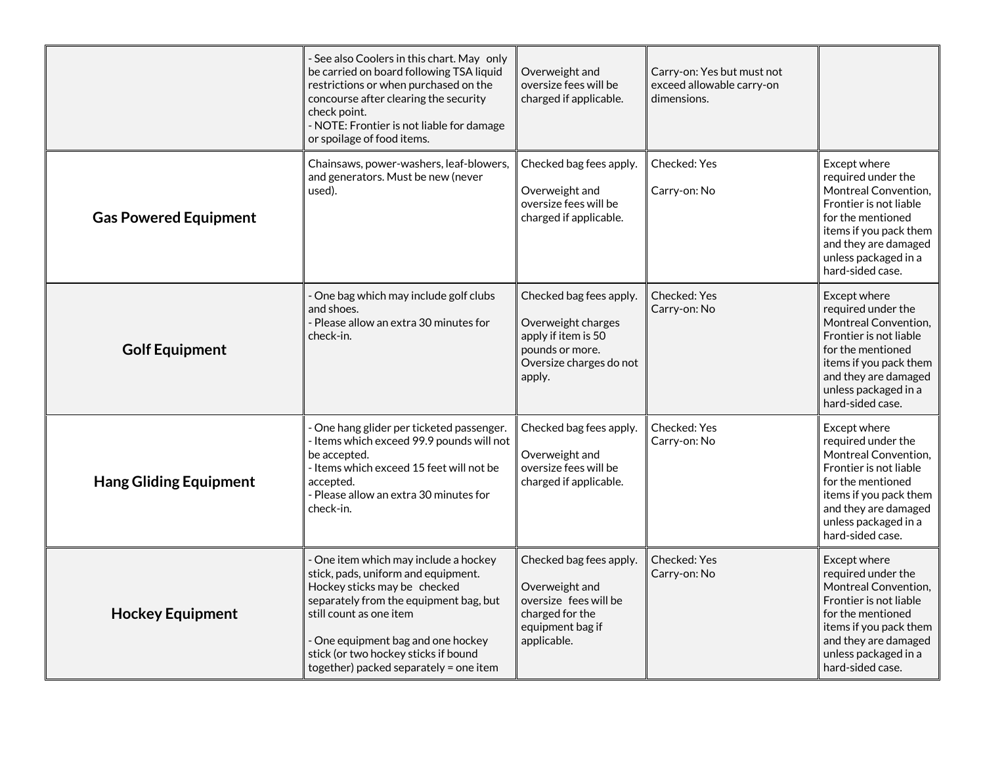|                               | - See also Coolers in this chart. May only<br>be carried on board following TSA liquid<br>restrictions or when purchased on the<br>concourse after clearing the security<br>check point.<br>- NOTE: Frontier is not liable for damage<br>or spoilage of food items.                                       | Overweight and<br>oversize fees will be<br>charged if applicable.                                                            | Carry-on: Yes but must not<br>exceed allowable carry-on<br>dimensions. |                                                                                                                                                                                                         |
|-------------------------------|-----------------------------------------------------------------------------------------------------------------------------------------------------------------------------------------------------------------------------------------------------------------------------------------------------------|------------------------------------------------------------------------------------------------------------------------------|------------------------------------------------------------------------|---------------------------------------------------------------------------------------------------------------------------------------------------------------------------------------------------------|
| <b>Gas Powered Equipment</b>  | Chainsaws, power-washers, leaf-blowers,<br>and generators. Must be new (never<br>used).                                                                                                                                                                                                                   | Checked bag fees apply.<br>Overweight and<br>oversize fees will be<br>charged if applicable.                                 | Checked: Yes<br>Carry-on: No                                           | Except where<br>required under the<br>Montreal Convention,<br>Frontier is not liable<br>for the mentioned<br>items if you pack them<br>and they are damaged<br>unless packaged in a<br>hard-sided case. |
| <b>Golf Equipment</b>         | - One bag which may include golf clubs<br>and shoes.<br>- Please allow an extra 30 minutes for<br>check-in.                                                                                                                                                                                               | Checked bag fees apply.<br>Overweight charges<br>apply if item is 50<br>pounds or more.<br>Oversize charges do not<br>apply. | <b>Checked: Yes</b><br>Carry-on: No                                    | Except where<br>required under the<br>Montreal Convention,<br>Frontier is not liable<br>for the mentioned<br>items if you pack them<br>and they are damaged<br>unless packaged in a<br>hard-sided case. |
| <b>Hang Gliding Equipment</b> | - One hang glider per ticketed passenger.<br>- Items which exceed 99.9 pounds will not<br>be accepted.<br>- Items which exceed 15 feet will not be<br>accepted.<br>- Please allow an extra 30 minutes for<br>check-in.                                                                                    | Checked bag fees apply.<br>Overweight and<br>oversize fees will be<br>charged if applicable.                                 | Checked: Yes<br>Carry-on: No                                           | Except where<br>required under the<br>Montreal Convention,<br>Frontier is not liable<br>for the mentioned<br>items if you pack them<br>and they are damaged<br>unless packaged in a<br>hard-sided case. |
| <b>Hockey Equipment</b>       | - One item which may include a hockey<br>stick, pads, uniform and equipment.<br>Hockey sticks may be checked<br>separately from the equipment bag, but<br>still count as one item<br>- One equipment bag and one hockey<br>stick (or two hockey sticks if bound<br>together) packed separately = one item | Checked bag fees apply.<br>Overweight and<br>oversize fees will be<br>charged for the<br>equipment bag if<br>applicable.     | <b>Checked: Yes</b><br>Carry-on: No                                    | Except where<br>required under the<br>Montreal Convention,<br>Frontier is not liable<br>for the mentioned<br>items if you pack them<br>and they are damaged<br>unless packaged in a<br>hard-sided case. |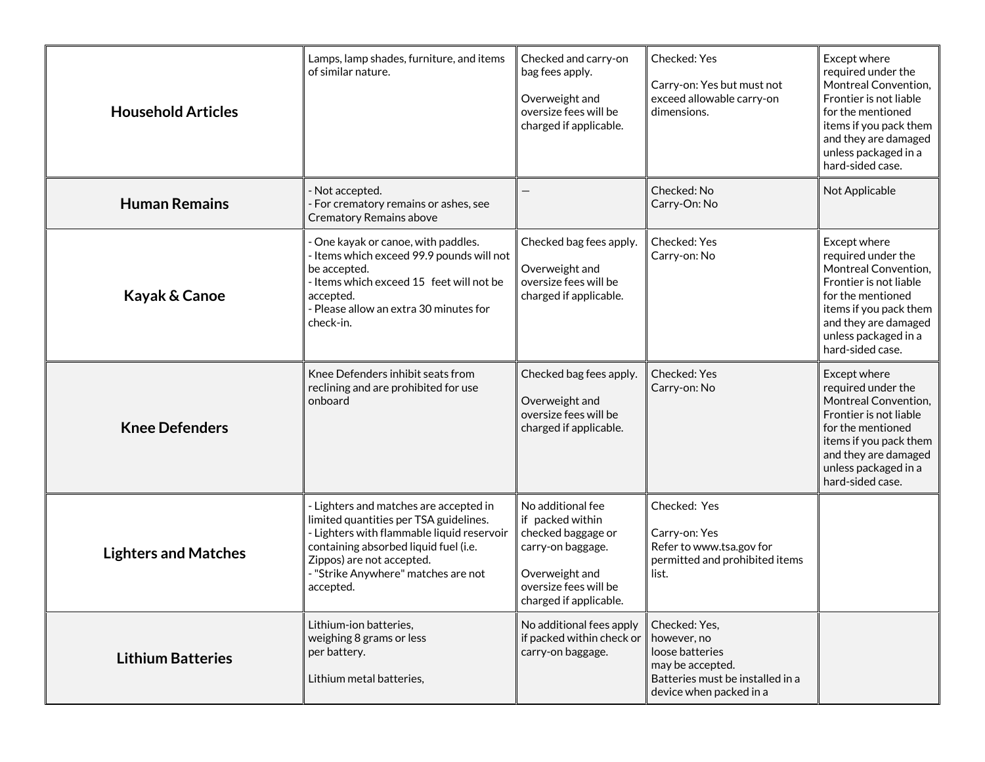| <b>Household Articles</b>   | Lamps, lamp shades, furniture, and items<br>of similar nature.                                                                                                                                                                                           | Checked and carry-on<br>bag fees apply.<br>Overweight and<br>oversize fees will be<br>charged if applicable.                                          | Checked: Yes<br>Carry-on: Yes but must not<br>exceed allowable carry-on<br>dimensions.                                             | Except where<br>required under the<br>Montreal Convention,<br>Frontier is not liable<br>for the mentioned<br>items if you pack them<br>and they are damaged<br>unless packaged in a<br>hard-sided case. |
|-----------------------------|----------------------------------------------------------------------------------------------------------------------------------------------------------------------------------------------------------------------------------------------------------|-------------------------------------------------------------------------------------------------------------------------------------------------------|------------------------------------------------------------------------------------------------------------------------------------|---------------------------------------------------------------------------------------------------------------------------------------------------------------------------------------------------------|
| <b>Human Remains</b>        | Not accepted.<br>For crematory remains or ashes, see<br><b>Crematory Remains above</b>                                                                                                                                                                   |                                                                                                                                                       | Checked: No<br>Carry-On: No                                                                                                        | Not Applicable                                                                                                                                                                                          |
| Kayak & Canoe               | One kayak or canoe, with paddles.<br>- Items which exceed 99.9 pounds will not<br>be accepted.<br>- Items which exceed 15 feet will not be<br>accepted.<br>- Please allow an extra 30 minutes for<br>check-in.                                           | Checked bag fees apply.<br>Overweight and<br>oversize fees will be<br>charged if applicable.                                                          | Checked: Yes<br>Carry-on: No                                                                                                       | Except where<br>required under the<br>Montreal Convention,<br>Frontier is not liable<br>for the mentioned<br>items if you pack them<br>and they are damaged<br>unless packaged in a<br>hard-sided case. |
| <b>Knee Defenders</b>       | Knee Defenders inhibit seats from<br>reclining and are prohibited for use<br>onboard                                                                                                                                                                     | Checked bag fees apply.<br>Overweight and<br>oversize fees will be<br>charged if applicable.                                                          | Checked: Yes<br>Carry-on: No                                                                                                       | Except where<br>required under the<br>Montreal Convention,<br>Frontier is not liable<br>for the mentioned<br>items if you pack them<br>and they are damaged<br>unless packaged in a<br>hard-sided case. |
| <b>Lighters and Matches</b> | - Lighters and matches are accepted in<br>limited quantities per TSA guidelines.<br>- Lighters with flammable liquid reservoir<br>containing absorbed liquid fuel (i.e.<br>Zippos) are not accepted.<br>- "Strike Anywhere" matches are not<br>accepted. | No additional fee<br>if packed within<br>checked baggage or<br>carry-on baggage.<br>Overweight and<br>oversize fees will be<br>charged if applicable. | Checked: Yes<br>Carry-on: Yes<br>Refer to www.tsa.gov for<br>permitted and prohibited items<br>list.                               |                                                                                                                                                                                                         |
| <b>Lithium Batteries</b>    | Lithium-ion batteries,<br>weighing 8 grams or less<br>per battery.<br>Lithium metal batteries,                                                                                                                                                           | No additional fees apply<br>if packed within check or<br>carry-on baggage.                                                                            | Checked: Yes,<br>however, no<br>loose batteries<br>may be accepted.<br>Batteries must be installed in a<br>device when packed in a |                                                                                                                                                                                                         |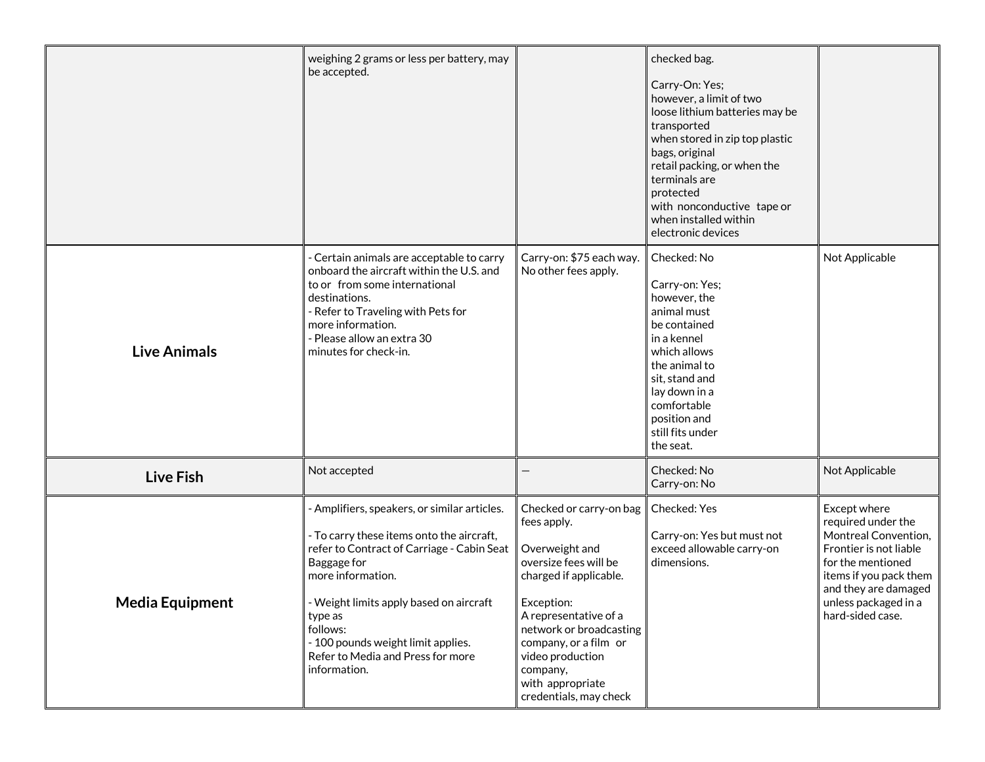|                        | weighing 2 grams or less per battery, may<br>be accepted.                                                                                                                                                                                                                                                                                |                                                                                                                                                                                                                                                                                      | checked bag.<br>Carry-On: Yes;<br>however, a limit of two<br>loose lithium batteries may be<br>transported<br>when stored in zip top plastic<br>bags, original<br>retail packing, or when the<br>terminals are<br>protected<br>with nonconductive tape or<br>when installed within<br>electronic devices |                                                                                                                                                                                                         |
|------------------------|------------------------------------------------------------------------------------------------------------------------------------------------------------------------------------------------------------------------------------------------------------------------------------------------------------------------------------------|--------------------------------------------------------------------------------------------------------------------------------------------------------------------------------------------------------------------------------------------------------------------------------------|----------------------------------------------------------------------------------------------------------------------------------------------------------------------------------------------------------------------------------------------------------------------------------------------------------|---------------------------------------------------------------------------------------------------------------------------------------------------------------------------------------------------------|
| <b>Live Animals</b>    | - Certain animals are acceptable to carry<br>onboard the aircraft within the U.S. and<br>to or from some international<br>destinations.<br>- Refer to Traveling with Pets for<br>more information.<br>- Please allow an extra 30<br>minutes for check-in.                                                                                | Carry-on: \$75 each way.<br>No other fees apply.                                                                                                                                                                                                                                     | Checked: No<br>Carry-on: Yes;<br>however, the<br>animal must<br>be contained<br>in a kennel<br>which allows<br>the animal to<br>sit, stand and<br>lay down in a<br>comfortable<br>position and<br>still fits under<br>the seat.                                                                          | Not Applicable                                                                                                                                                                                          |
| <b>Live Fish</b>       | Not accepted                                                                                                                                                                                                                                                                                                                             |                                                                                                                                                                                                                                                                                      | Checked: No<br>Carry-on: No                                                                                                                                                                                                                                                                              | Not Applicable                                                                                                                                                                                          |
| <b>Media Equipment</b> | - Amplifiers, speakers, or similar articles.<br>- To carry these items onto the aircraft,<br>refer to Contract of Carriage - Cabin Seat<br>Baggage for<br>more information.<br>- Weight limits apply based on aircraft<br>type as<br>follows:<br>- 100 pounds weight limit applies.<br>Refer to Media and Press for more<br>information. | Checked or carry-on bag<br>fees apply.<br>Overweight and<br>oversize fees will be<br>charged if applicable.<br>Exception:<br>A representative of a<br>network or broadcasting<br>company, or a film or<br>video production<br>company,<br>with appropriate<br>credentials, may check | Checked: Yes<br>Carry-on: Yes but must not<br>exceed allowable carry-on<br>dimensions.                                                                                                                                                                                                                   | Except where<br>required under the<br>Montreal Convention,<br>Frontier is not liable<br>for the mentioned<br>items if you pack them<br>and they are damaged<br>unless packaged in a<br>hard-sided case. |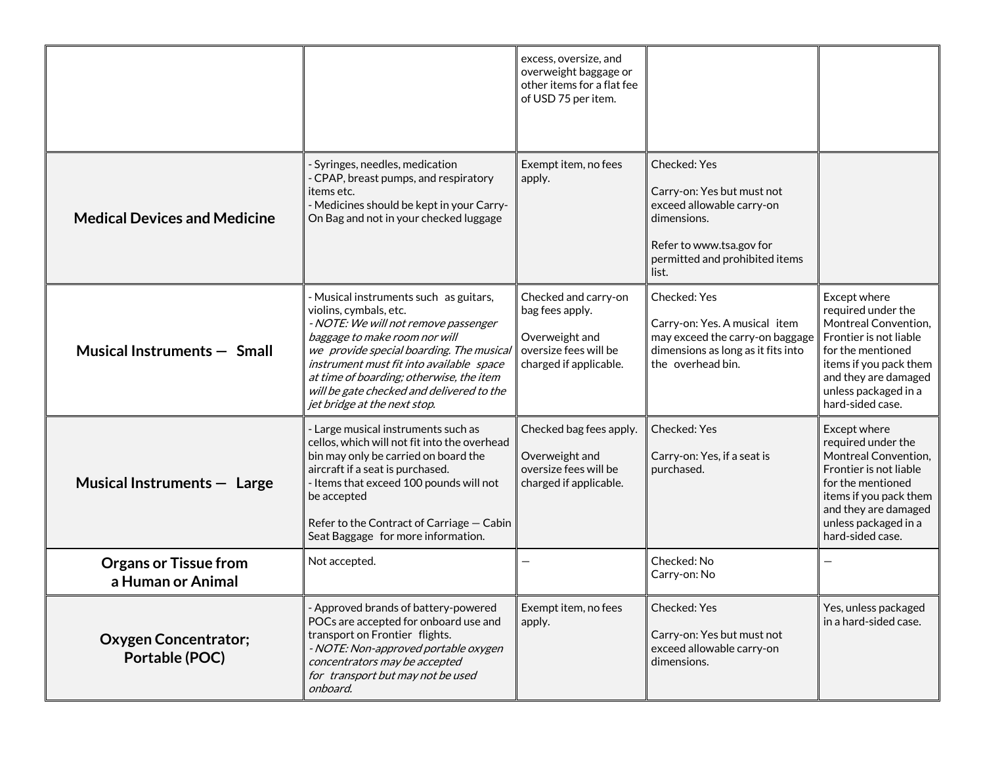|                                                   |                                                                                                                                                                                                                                                                                                                                                            | excess, oversize, and<br>overweight baggage or<br>other items for a flat fee<br>of USD 75 per item.          |                                                                                                                                                               |                                                                                                                                                                                                         |
|---------------------------------------------------|------------------------------------------------------------------------------------------------------------------------------------------------------------------------------------------------------------------------------------------------------------------------------------------------------------------------------------------------------------|--------------------------------------------------------------------------------------------------------------|---------------------------------------------------------------------------------------------------------------------------------------------------------------|---------------------------------------------------------------------------------------------------------------------------------------------------------------------------------------------------------|
| <b>Medical Devices and Medicine</b>               | Syringes, needles, medication<br>- CPAP, breast pumps, and respiratory<br>items etc.<br>- Medicines should be kept in your Carry-<br>On Bag and not in your checked luggage                                                                                                                                                                                | Exempt item, no fees<br>apply.                                                                               | Checked: Yes<br>Carry-on: Yes but must not<br>exceed allowable carry-on<br>dimensions.<br>Refer to www.tsa.gov for<br>permitted and prohibited items<br>list. |                                                                                                                                                                                                         |
| Musical Instruments - Small                       | - Musical instruments such as guitars,<br>violins, cymbals, etc.<br>- NOTE: We will not remove passenger<br>baggage to make room nor will<br>we provide special boarding. The musical<br>instrument must fit into available space<br>at time of boarding; otherwise, the item<br>will be gate checked and delivered to the<br>jet bridge at the next stop. | Checked and carry-on<br>bag fees apply.<br>Overweight and<br>oversize fees will be<br>charged if applicable. | Checked: Yes<br>Carry-on: Yes. A musical item<br>may exceed the carry-on baggage<br>dimensions as long as it fits into<br>the overhead bin.                   | Except where<br>required under the<br>Montreal Convention,<br>Frontier is not liable<br>for the mentioned<br>items if you pack them<br>and they are damaged<br>unless packaged in a<br>hard-sided case. |
| Musical Instruments - Large                       | - Large musical instruments such as<br>cellos, which will not fit into the overhead<br>bin may only be carried on board the<br>aircraft if a seat is purchased.<br>- Items that exceed 100 pounds will not<br>be accepted<br>Refer to the Contract of Carriage - Cabin<br>Seat Baggage for more information.                                               | Checked bag fees apply.<br>Overweight and<br>oversize fees will be<br>charged if applicable.                 | Checked: Yes<br>Carry-on: Yes, if a seat is<br>purchased.                                                                                                     | Except where<br>required under the<br>Montreal Convention,<br>Frontier is not liable<br>for the mentioned<br>items if you pack them<br>and they are damaged<br>unless packaged in a<br>hard-sided case. |
| <b>Organs or Tissue from</b><br>a Human or Animal | Not accepted.                                                                                                                                                                                                                                                                                                                                              |                                                                                                              | Checked: No<br>Carry-on: No                                                                                                                                   |                                                                                                                                                                                                         |
| <b>Oxygen Concentrator;</b><br>Portable (POC)     | - Approved brands of battery-powered<br>POCs are accepted for onboard use and<br>transport on Frontier flights.<br>- NOTE: Non-approved portable oxygen<br>concentrators may be accepted<br>for transport but may not be used<br>onboard.                                                                                                                  | Exempt item, no fees<br>apply.                                                                               | Checked: Yes<br>Carry-on: Yes but must not<br>exceed allowable carry-on<br>dimensions.                                                                        | Yes, unless packaged<br>in a hard-sided case.                                                                                                                                                           |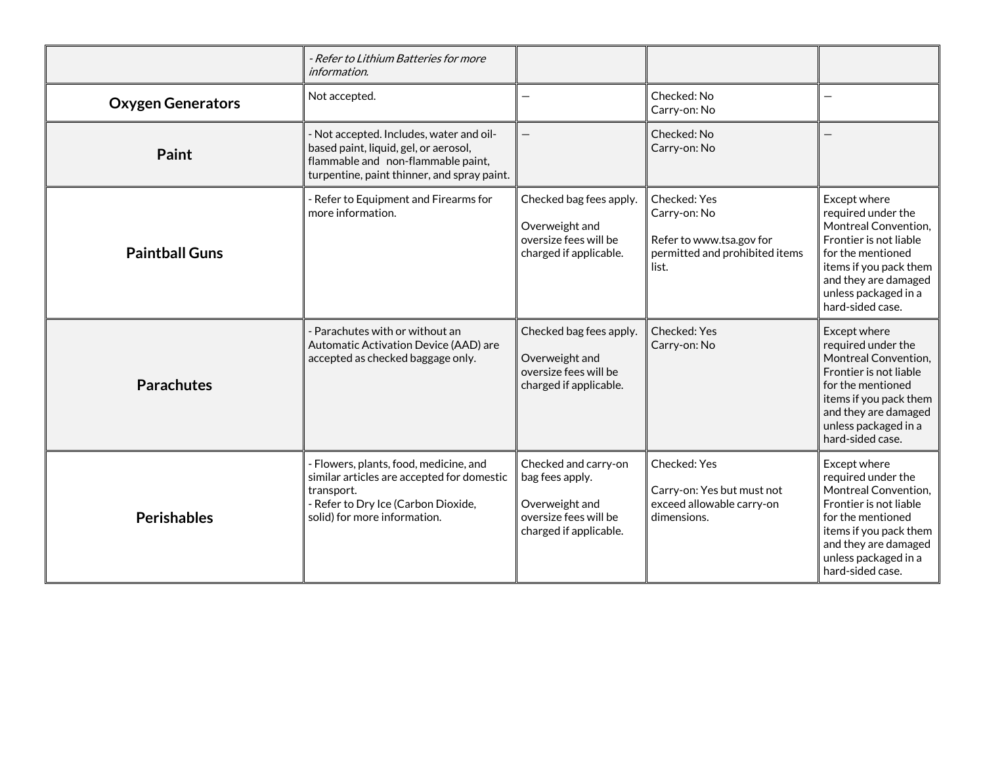|                          | - Refer to Lithium Batteries for more<br>information.                                                                                                                     |                                                                                                              |                                                                                                     |                                                                                                                                                                                                         |
|--------------------------|---------------------------------------------------------------------------------------------------------------------------------------------------------------------------|--------------------------------------------------------------------------------------------------------------|-----------------------------------------------------------------------------------------------------|---------------------------------------------------------------------------------------------------------------------------------------------------------------------------------------------------------|
| <b>Oxygen Generators</b> | Not accepted.                                                                                                                                                             |                                                                                                              | Checked: No<br>Carry-on: No                                                                         |                                                                                                                                                                                                         |
| Paint                    | - Not accepted. Includes, water and oil-<br>based paint, liquid, gel, or aerosol,<br>flammable and non-flammable paint,<br>turpentine, paint thinner, and spray paint.    |                                                                                                              | Checked: No<br>Carry-on: No                                                                         |                                                                                                                                                                                                         |
| <b>Paintball Guns</b>    | - Refer to Equipment and Firearms for<br>more information.                                                                                                                | Checked bag fees apply.<br>Overweight and<br>oversize fees will be<br>charged if applicable.                 | Checked: Yes<br>Carry-on: No<br>Refer to www.tsa.gov for<br>permitted and prohibited items<br>list. | Except where<br>required under the<br>Montreal Convention,<br>Frontier is not liable<br>for the mentioned<br>items if you pack them<br>and they are damaged<br>unless packaged in a<br>hard-sided case. |
| <b>Parachutes</b>        | Parachutes with or without an<br>Automatic Activation Device (AAD) are<br>accepted as checked baggage only.                                                               | Checked bag fees apply.<br>Overweight and<br>oversize fees will be<br>charged if applicable.                 | Checked: Yes<br>Carry-on: No                                                                        | Except where<br>required under the<br>Montreal Convention,<br>Frontier is not liable<br>for the mentioned<br>items if you pack them<br>and they are damaged<br>unless packaged in a<br>hard-sided case. |
| Perishables              | - Flowers, plants, food, medicine, and<br>similar articles are accepted for domestic<br>transport.<br>- Refer to Dry Ice (Carbon Dioxide,<br>solid) for more information. | Checked and carry-on<br>bag fees apply.<br>Overweight and<br>oversize fees will be<br>charged if applicable. | Checked: Yes<br>Carry-on: Yes but must not<br>exceed allowable carry-on<br>dimensions.              | Except where<br>required under the<br>Montreal Convention,<br>Frontier is not liable<br>for the mentioned<br>items if you pack them<br>and they are damaged<br>unless packaged in a<br>hard-sided case. |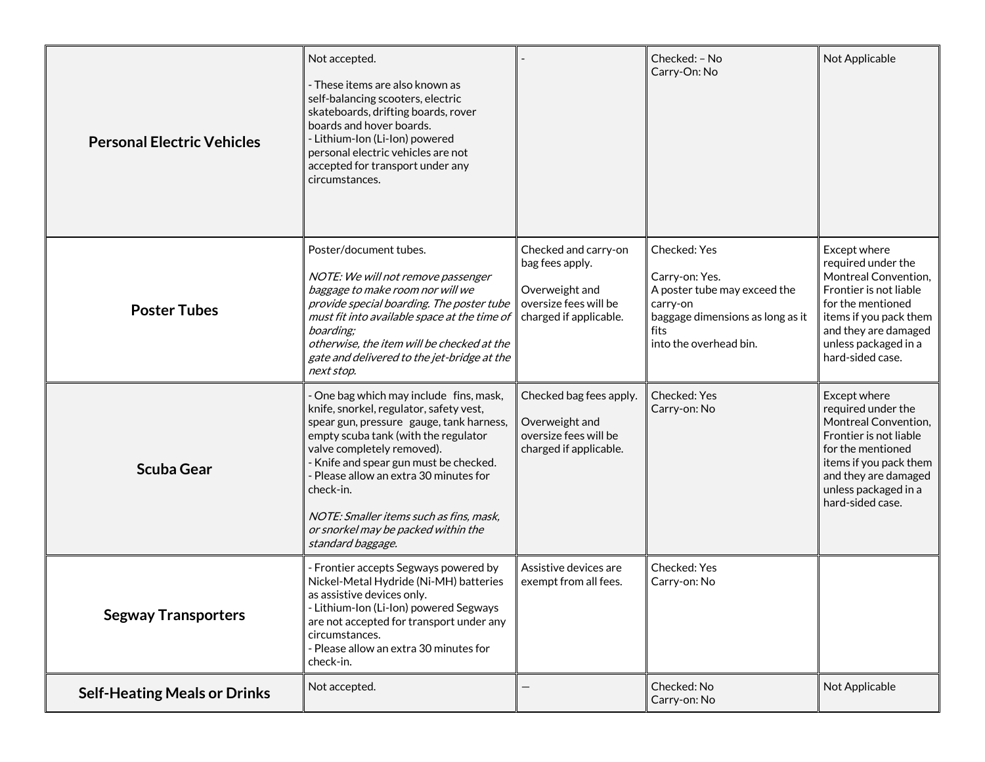| <b>Personal Electric Vehicles</b>   | Not accepted.<br>- These items are also known as<br>self-balancing scooters, electric<br>skateboards, drifting boards, rover<br>boards and hover boards.<br>- Lithium-Ion (Li-Ion) powered<br>personal electric vehicles are not<br>accepted for transport under any<br>circumstances.                                                                                                                     |                                                                                                              | Checked: - No<br>Carry-On: No                                                                                                                    | Not Applicable                                                                                                                                                                                          |
|-------------------------------------|------------------------------------------------------------------------------------------------------------------------------------------------------------------------------------------------------------------------------------------------------------------------------------------------------------------------------------------------------------------------------------------------------------|--------------------------------------------------------------------------------------------------------------|--------------------------------------------------------------------------------------------------------------------------------------------------|---------------------------------------------------------------------------------------------------------------------------------------------------------------------------------------------------------|
| <b>Poster Tubes</b>                 | Poster/document tubes.<br>NOTE: We will not remove passenger<br>baggage to make room nor will we<br>provide special boarding. The poster tube<br>must fit into available space at the time of<br>boarding:<br>otherwise, the item will be checked at the<br>gate and delivered to the jet-bridge at the<br>next stop.                                                                                      | Checked and carry-on<br>bag fees apply.<br>Overweight and<br>oversize fees will be<br>charged if applicable. | Checked: Yes<br>Carry-on: Yes.<br>A poster tube may exceed the<br>carry-on<br>baggage dimensions as long as it<br>fits<br>into the overhead bin. | Except where<br>required under the<br>Montreal Convention,<br>Frontier is not liable<br>for the mentioned<br>items if you pack them<br>and they are damaged<br>unless packaged in a<br>hard-sided case. |
| <b>Scuba Gear</b>                   | One bag which may include fins, mask,<br>knife, snorkel, regulator, safety vest,<br>spear gun, pressure gauge, tank harness,<br>empty scuba tank (with the regulator<br>valve completely removed).<br>- Knife and spear gun must be checked.<br>- Please allow an extra 30 minutes for<br>check-in.<br>NOTE: Smaller items such as fins, mask,<br>or snorkel may be packed within the<br>standard baggage. | Checked bag fees apply.<br>Overweight and<br>oversize fees will be<br>charged if applicable.                 | Checked: Yes<br>Carry-on: No                                                                                                                     | Except where<br>required under the<br>Montreal Convention,<br>Frontier is not liable<br>for the mentioned<br>items if you pack them<br>and they are damaged<br>unless packaged in a<br>hard-sided case. |
| <b>Segway Transporters</b>          | - Frontier accepts Segways powered by<br>Nickel-Metal Hydride (Ni-MH) batteries<br>as assistive devices only.<br>- Lithium-Ion (Li-Ion) powered Segways<br>are not accepted for transport under any<br>circumstances.<br>- Please allow an extra 30 minutes for<br>check-in.                                                                                                                               | Assistive devices are<br>exempt from all fees.                                                               | Checked: Yes<br>Carry-on: No                                                                                                                     |                                                                                                                                                                                                         |
| <b>Self-Heating Meals or Drinks</b> | Not accepted.                                                                                                                                                                                                                                                                                                                                                                                              |                                                                                                              | Checked: No<br>Carry-on: No                                                                                                                      | Not Applicable                                                                                                                                                                                          |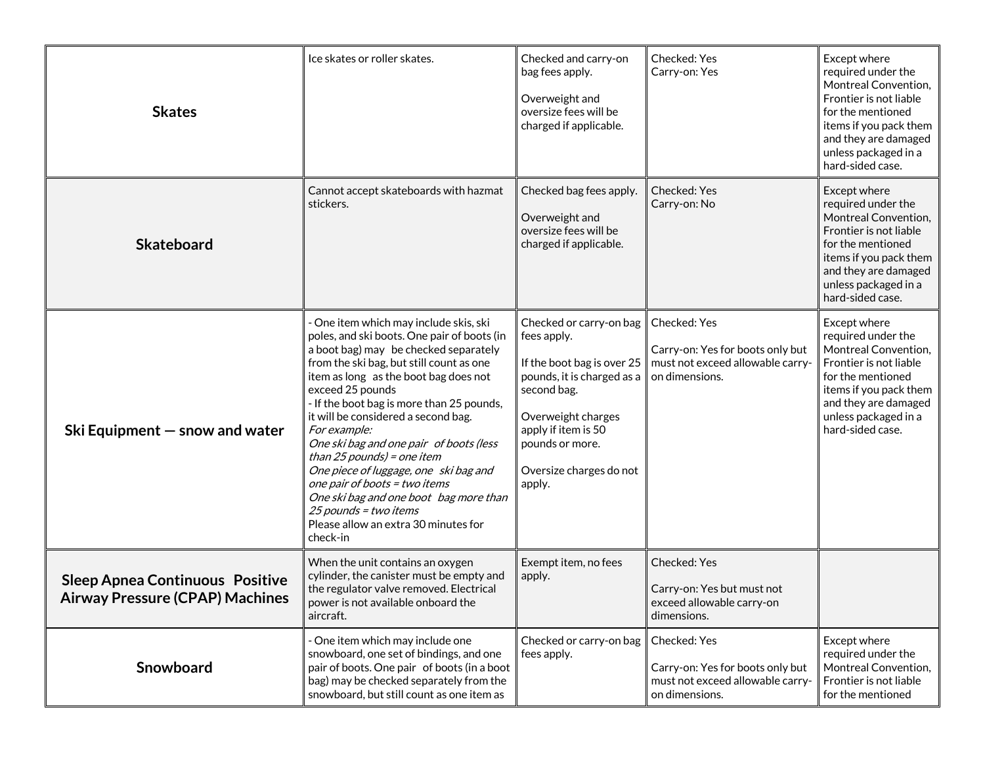| <b>Skates</b>                                                                    | Ice skates or roller skates.                                                                                                                                                                                                                                                                                                                                                                                                                                                                                                                                                                                          | Checked and carry-on<br>bag fees apply.<br>Overweight and<br>oversize fees will be<br>charged if applicable.                                                                                                           | Checked: Yes<br>Carry-on: Yes                                                                          | Except where<br>required under the<br>Montreal Convention,<br>Frontier is not liable<br>for the mentioned<br>items if you pack them<br>and they are damaged<br>unless packaged in a<br>hard-sided case. |
|----------------------------------------------------------------------------------|-----------------------------------------------------------------------------------------------------------------------------------------------------------------------------------------------------------------------------------------------------------------------------------------------------------------------------------------------------------------------------------------------------------------------------------------------------------------------------------------------------------------------------------------------------------------------------------------------------------------------|------------------------------------------------------------------------------------------------------------------------------------------------------------------------------------------------------------------------|--------------------------------------------------------------------------------------------------------|---------------------------------------------------------------------------------------------------------------------------------------------------------------------------------------------------------|
| <b>Skateboard</b>                                                                | Cannot accept skateboards with hazmat<br>stickers.                                                                                                                                                                                                                                                                                                                                                                                                                                                                                                                                                                    | Checked bag fees apply.<br>Overweight and<br>oversize fees will be<br>charged if applicable.                                                                                                                           | Checked: Yes<br>Carry-on: No                                                                           | Except where<br>required under the<br>Montreal Convention,<br>Frontier is not liable<br>for the mentioned<br>items if you pack them<br>and they are damaged<br>unless packaged in a<br>hard-sided case. |
| Ski Equipment $-$ snow and water                                                 | One item which may include skis, ski<br>poles, and ski boots. One pair of boots (in<br>a boot bag) may be checked separately<br>from the ski bag, but still count as one<br>item as long as the boot bag does not<br>exceed 25 pounds<br>- If the boot bag is more than 25 pounds,<br>it will be considered a second bag.<br>For example:<br>One ski bag and one pair of boots (less<br>than $25$ pounds) = one item<br>One piece of luggage, one ski bag and<br>one pair of boots = two items<br>One ski bag and one boot bag more than<br>25 pounds = two items<br>Please allow an extra 30 minutes for<br>check-in | Checked or carry-on bag<br>fees apply.<br>If the boot bag is over 25<br>pounds, it is charged as a<br>second bag.<br>Overweight charges<br>apply if item is 50<br>pounds or more.<br>Oversize charges do not<br>apply. | Checked: Yes<br>Carry-on: Yes for boots only but<br>must not exceed allowable carry-<br>on dimensions. | Except where<br>required under the<br>Montreal Convention,<br>Frontier is not liable<br>for the mentioned<br>items if you pack them<br>and they are damaged<br>unless packaged in a<br>hard-sided case. |
| <b>Sleep Apnea Continuous Positive</b><br><b>Airway Pressure (CPAP) Machines</b> | When the unit contains an oxygen<br>cylinder, the canister must be empty and<br>the regulator valve removed. Electrical<br>power is not available onboard the<br>aircraft.                                                                                                                                                                                                                                                                                                                                                                                                                                            | Exempt item, no fees<br>apply.                                                                                                                                                                                         | Checked: Yes<br>Carry-on: Yes but must not<br>exceed allowable carry-on<br>dimensions.                 |                                                                                                                                                                                                         |
| Snowboard                                                                        | One item which may include one<br>snowboard, one set of bindings, and one<br>pair of boots. One pair of boots (in a boot<br>bag) may be checked separately from the<br>snowboard, but still count as one item as                                                                                                                                                                                                                                                                                                                                                                                                      | Checked or carry-on bag<br>fees apply.                                                                                                                                                                                 | Checked: Yes<br>Carry-on: Yes for boots only but<br>must not exceed allowable carry-<br>on dimensions. | Except where<br>required under the<br>Montreal Convention,<br>Frontier is not liable<br>for the mentioned                                                                                               |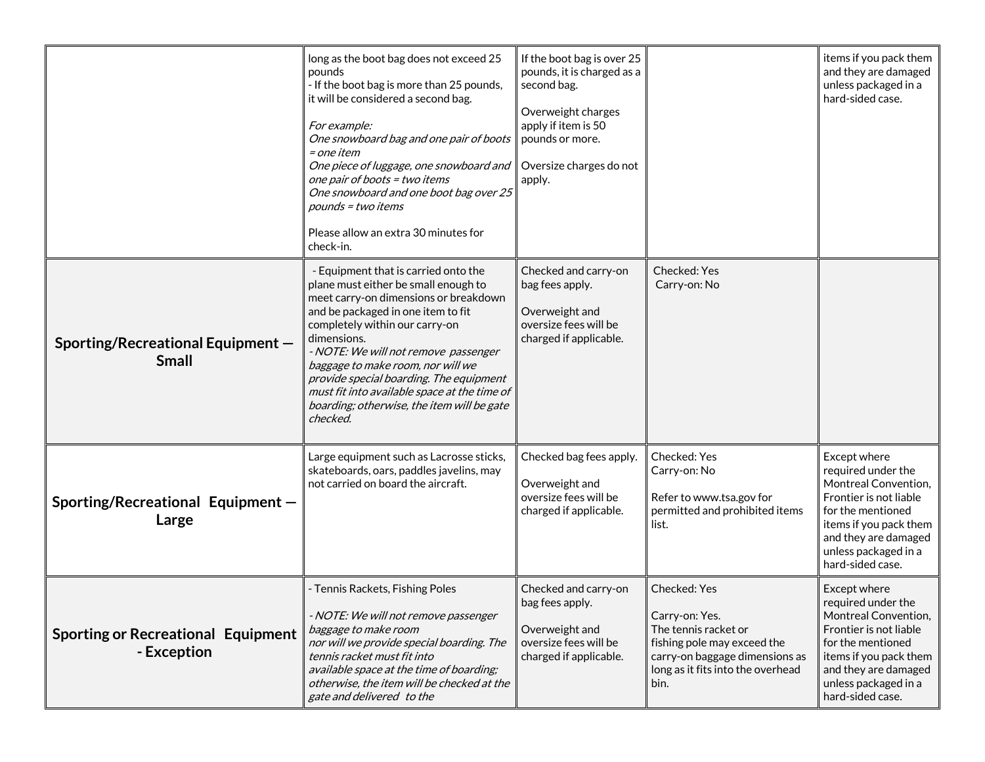|                                                          | long as the boot bag does not exceed 25<br>pounds<br>- If the boot bag is more than 25 pounds,<br>it will be considered a second bag.<br>For example:<br>One snowboard bag and one pair of boots<br>= one item<br>One piece of luggage, one snowboard and<br>one pair of boots = two items<br>One snowboard and one boot bag over 25<br>pounds = two items<br>Please allow an extra 30 minutes for<br>check-in.                                | If the boot bag is over 25<br>pounds, it is charged as a<br>second bag.<br>Overweight charges<br>apply if item is 50<br>pounds or more.<br>Oversize charges do not<br>apply. |                                                                                                                                                                      | items if you pack them<br>and they are damaged<br>unless packaged in a<br>hard-sided case.                                                                                                              |
|----------------------------------------------------------|------------------------------------------------------------------------------------------------------------------------------------------------------------------------------------------------------------------------------------------------------------------------------------------------------------------------------------------------------------------------------------------------------------------------------------------------|------------------------------------------------------------------------------------------------------------------------------------------------------------------------------|----------------------------------------------------------------------------------------------------------------------------------------------------------------------|---------------------------------------------------------------------------------------------------------------------------------------------------------------------------------------------------------|
| Sporting/Recreational Equipment -<br><b>Small</b>        | - Equipment that is carried onto the<br>plane must either be small enough to<br>meet carry-on dimensions or breakdown<br>and be packaged in one item to fit<br>completely within our carry-on<br>dimensions.<br>- NOTE: We will not remove passenger<br>baggage to make room, nor will we<br>provide special boarding. The equipment<br>must fit into available space at the time of<br>boarding; otherwise, the item will be gate<br>checked. | Checked and carry-on<br>bag fees apply.<br>Overweight and<br>oversize fees will be<br>charged if applicable.                                                                 | Checked: Yes<br>Carry-on: No                                                                                                                                         |                                                                                                                                                                                                         |
| Sporting/Recreational Equipment -<br>Large               | Large equipment such as Lacrosse sticks,<br>skateboards, oars, paddles javelins, may<br>not carried on board the aircraft.                                                                                                                                                                                                                                                                                                                     | Checked bag fees apply.<br>Overweight and<br>oversize fees will be<br>charged if applicable.                                                                                 | Checked: Yes<br>Carry-on: No<br>Refer to www.tsa.gov for<br>permitted and prohibited items<br>list.                                                                  | Except where<br>required under the<br>Montreal Convention,<br>Frontier is not liable<br>for the mentioned<br>items if you pack them<br>and they are damaged<br>unless packaged in a<br>hard-sided case. |
| <b>Sporting or Recreational Equipment</b><br>- Exception | - Tennis Rackets, Fishing Poles<br>- NOTE: We will not remove passenger<br>baggage to make room<br>nor will we provide special boarding. The<br>tennis racket must fit into<br>available space at the time of boarding;<br>otherwise, the item will be checked at the<br>gate and delivered to the                                                                                                                                             | Checked and carry-on<br>bag fees apply.<br>Overweight and<br>oversize fees will be<br>charged if applicable.                                                                 | Checked: Yes<br>Carry-on: Yes.<br>The tennis racket or<br>fishing pole may exceed the<br>carry-on baggage dimensions as<br>long as it fits into the overhead<br>bin. | Except where<br>required under the<br>Montreal Convention,<br>Frontier is not liable<br>for the mentioned<br>items if you pack them<br>and they are damaged<br>unless packaged in a<br>hard-sided case. |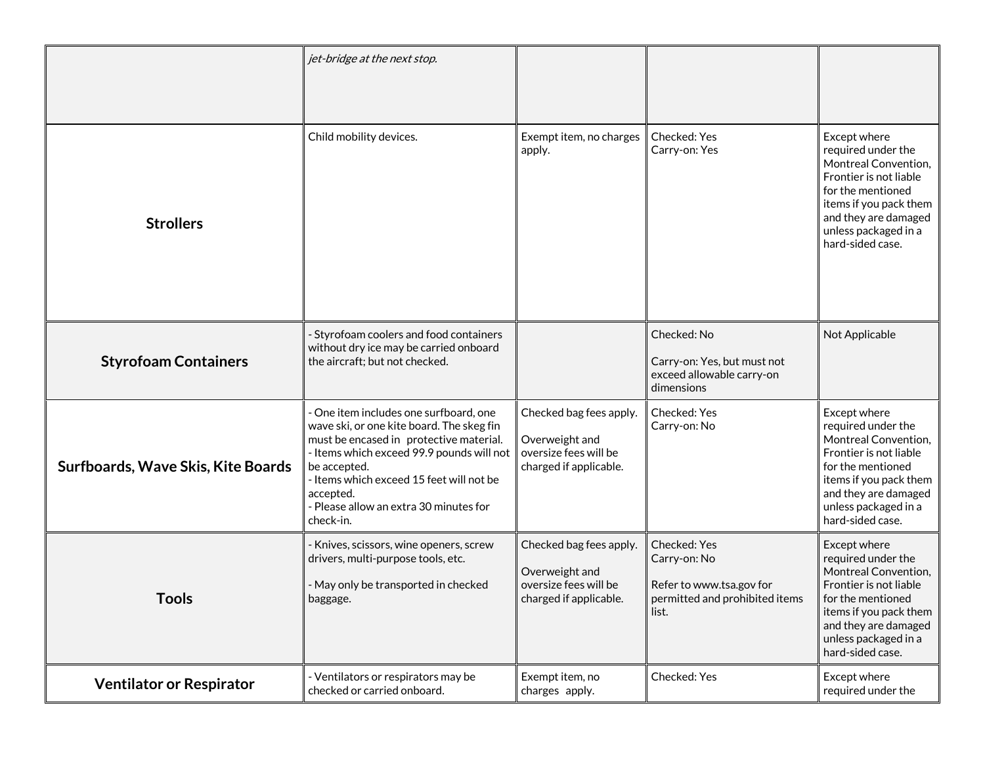|                                    | jet-bridge at the next stop.                                                                                                                                                                                                                                                                              |                                                                                              |                                                                                                     |                                                                                                                                                                                                         |
|------------------------------------|-----------------------------------------------------------------------------------------------------------------------------------------------------------------------------------------------------------------------------------------------------------------------------------------------------------|----------------------------------------------------------------------------------------------|-----------------------------------------------------------------------------------------------------|---------------------------------------------------------------------------------------------------------------------------------------------------------------------------------------------------------|
| <b>Strollers</b>                   | Child mobility devices.                                                                                                                                                                                                                                                                                   | Exempt item, no charges<br>apply.                                                            | Checked: Yes<br>Carry-on: Yes                                                                       | Except where<br>required under the<br>Montreal Convention,<br>Frontier is not liable<br>for the mentioned<br>items if you pack them<br>and they are damaged<br>unless packaged in a<br>hard-sided case. |
| <b>Styrofoam Containers</b>        | Styrofoam coolers and food containers<br>without dry ice may be carried onboard<br>the aircraft; but not checked.                                                                                                                                                                                         |                                                                                              | Checked: No<br>Carry-on: Yes, but must not<br>exceed allowable carry-on<br>dimensions               | Not Applicable                                                                                                                                                                                          |
| Surfboards, Wave Skis, Kite Boards | One item includes one surfboard, one<br>wave ski, or one kite board. The skeg fin<br>must be encased in protective material.<br>- Items which exceed 99.9 pounds will not<br>be accepted.<br>- Items which exceed 15 feet will not be<br>accepted.<br>- Please allow an extra 30 minutes for<br>check-in. | Checked bag fees apply.<br>Overweight and<br>oversize fees will be<br>charged if applicable. | Checked: Yes<br>Carry-on: No                                                                        | Except where<br>required under the<br>Montreal Convention,<br>Frontier is not liable<br>for the mentioned<br>items if you pack them<br>and they are damaged<br>unless packaged in a<br>hard-sided case. |
| <b>Tools</b>                       | Knives, scissors, wine openers, screw<br>drivers, multi-purpose tools, etc.<br>- May only be transported in checked<br>baggage.                                                                                                                                                                           | Checked bag fees apply.<br>Overweight and<br>oversize fees will be<br>charged if applicable. | Checked: Yes<br>Carry-on: No<br>Refer to www.tsa.gov for<br>permitted and prohibited items<br>list. | Except where<br>required under the<br>Montreal Convention,<br>Frontier is not liable<br>for the mentioned<br>items if you pack them<br>and they are damaged<br>unless packaged in a<br>hard-sided case. |
| <b>Ventilator or Respirator</b>    | - Ventilators or respirators may be<br>checked or carried onboard.                                                                                                                                                                                                                                        | Exempt item, no<br>charges apply.                                                            | Checked: Yes                                                                                        | Except where<br>required under the                                                                                                                                                                      |